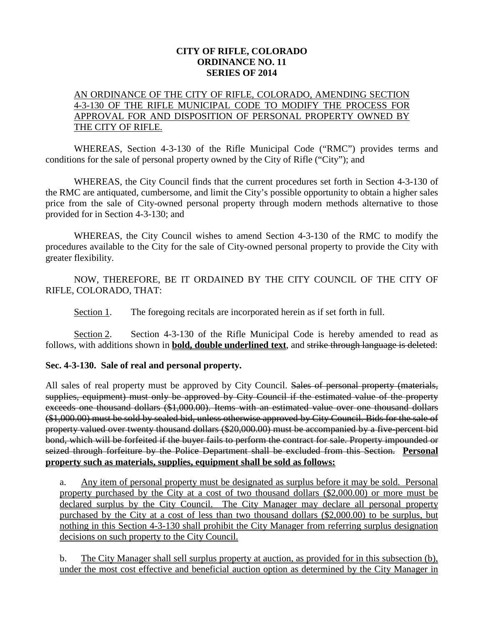## **CITY OF RIFLE, COLORADO ORDINANCE NO. 11 SERIES OF 2014**

## AN ORDINANCE OF THE CITY OF RIFLE, COLORADO, AMENDING SECTION 4-3-130 OF THE RIFLE MUNICIPAL CODE TO MODIFY THE PROCESS FOR APPROVAL FOR AND DISPOSITION OF PERSONAL PROPERTY OWNED BY THE CITY OF RIFLE.

WHEREAS, Section 4-3-130 of the Rifle Municipal Code ("RMC") provides terms and conditions for the sale of personal property owned by the City of Rifle ("City"); and

WHEREAS, the City Council finds that the current procedures set forth in Section 4-3-130 of the RMC are antiquated, cumbersome, and limit the City's possible opportunity to obtain a higher sales price from the sale of City-owned personal property through modern methods alternative to those provided for in Section 4-3-130; and

WHEREAS, the City Council wishes to amend Section 4-3-130 of the RMC to modify the procedures available to the City for the sale of City-owned personal property to provide the City with greater flexibility.

NOW, THEREFORE, BE IT ORDAINED BY THE CITY COUNCIL OF THE CITY OF RIFLE, COLORADO, THAT:

Section 1. The foregoing recitals are incorporated herein as if set forth in full.

Section 2. Section 4-3-130 of the Rifle Municipal Code is hereby amended to read as follows, with additions shown in **bold, double underlined text**, and strike through language is deleted:

## **Sec. 4-3-130. Sale of real and personal property.**

All sales of real property must be approved by City Council. Sales of personal property (materials, supplies, equipment) must only be approved by City Council if the estimated value of the property exceeds one thousand dollars (\$1,000.00). Items with an estimated value over one thousand dollars (\$1,000.00) must be sold by sealed bid, unless otherwise approved by City Council. Bids for the sale of property valued over twenty thousand dollars (\$20,000.00) must be accompanied by a five-percent bid bond, which will be forfeited if the buyer fails to perform the contract for sale. Property impounded or seized through forfeiture by the Police Department shall be excluded from this Section. **Personal property such as materials, supplies, equipment shall be sold as follows:**

a. Any item of personal property must be designated as surplus before it may be sold. Personal property purchased by the City at a cost of two thousand dollars (\$2,000.00) or more must be declared surplus by the City Council. The City Manager may declare all personal property purchased by the City at a cost of less than two thousand dollars (\$2,000.00) to be surplus, but nothing in this Section 4-3-130 shall prohibit the City Manager from referring surplus designation decisions on such property to the City Council.

b. The City Manager shall sell surplus property at auction, as provided for in this subsection (b), under the most cost effective and beneficial auction option as determined by the City Manager in